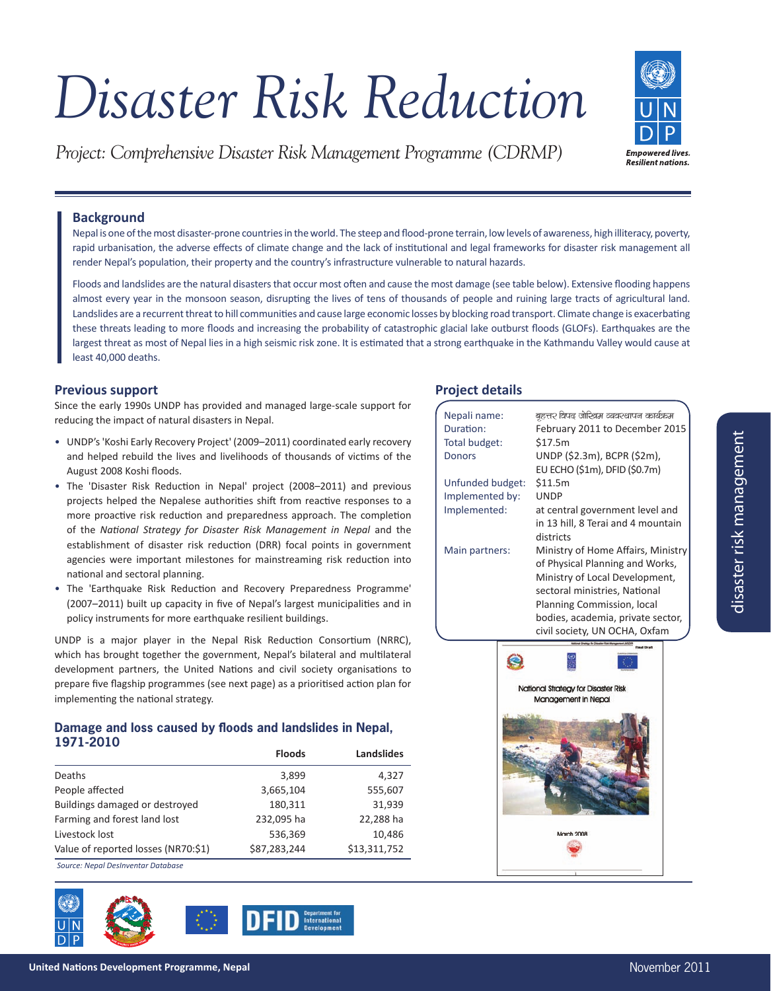# *Disaster Risk Reduction*

*Project: Comprehensive Disaster Risk Management Programme (CDRMP)*



# **Background**

Nepal is one of the most disaster-prone countries in the world. The steep and flood-prone terrain, low levels of awareness, high illiteracy, poverty, rapid urbanisation, the adverse effects of climate change and the lack of institutional and legal frameworks for disaster risk management all render Nepal's population, their property and the country's infrastructure vulnerable to natural hazards.

Floods and landslides are the natural disasters that occur most often and cause the most damage (see table below). Extensive flooding happens almost every year in the monsoon season, disrupting the lives of tens of thousands of people and ruining large tracts of agricultural land. Landslides are a recurrent threat to hill communities and cause large economic losses by blocking road transport. Climate change is exacerbating these threats leading to more floods and increasing the probability of catastrophic glacial lake outburst floods (GLOFs). Earthquakes are the largest threat as most of Nepal lies in a high seismic risk zone. It is estimated that a strong earthquake in the Kathmandu Valley would cause at least 40,000 deaths.

# **Previous support**

Since the early 1990s UNDP has provided and managed large-scale support for reducing the impact of natural disasters in Nepal.

- UNDP's 'Koshi Early Recovery Project' (2009–2011) coordinated early recovery and helped rebuild the lives and livelihoods of thousands of victims of the August 2008 Koshi floods.
- The 'Disaster Risk Reduction in Nepal' project (2008–2011) and previous projects helped the Nepalese authorities shift from reactive responses to a more proactive risk reduction and preparedness approach. The completion of the National Strategy for Disaster Risk Management in Nepal and the establishment of disaster risk reduction (DRR) focal points in government agencies were important milestones for mainstreaming risk reduction into national and sectoral planning.
- The 'Earthquake Risk Reduction and Recovery Preparedness Programme' (2007–2011) built up capacity in five of Nepal's largest municipalities and in policy instruments for more earthquake resilient buildings.

UNDP is a major player in the Nepal Risk Reduction Consortium (NRRC), which has brought together the government, Nepal's bilateral and multilateral development partners, the United Nations and civil society organisations to prepare five flagship programmes (see next page) as a prioritised action plan for implementing the national strategy.

# **Damage and loss caused by floods and landslides in Nepal, 1971-2010**

|                                     | <b>Floods</b> | <b>Landslides</b> |
|-------------------------------------|---------------|-------------------|
| Deaths                              | 3,899         | 4,327             |
| People affected                     | 3,665,104     | 555,607           |
| Buildings damaged or destroyed      | 180,311       | 31,939            |
| Farming and forest land lost        | 232,095 ha    | 22,288 ha         |
| Livestock lost                      | 536,369       | 10,486            |
| Value of reported losses (NR70:\$1) | \$87,283,244  | \$13,311,752      |
| .<br>$\sim$                         |               |                   |

*Source: Nepal DesInventar Database*



# **Project details**

| Nepali name:     | बहत्तर विपद जोखिम व्यवस्थापन कार्यऋम |
|------------------|--------------------------------------|
| Duration:        | February 2011 to December 2015       |
| Total budget:    | \$17.5m                              |
| Donors           | UNDP (\$2.3m), BCPR (\$2m),          |
|                  | EU ECHO (\$1m), DFID (\$0.7m)        |
| Unfunded budget: | \$11.5m                              |
| Implemented by:  | UNDP                                 |
| Implemented:     | at central government level and      |
|                  | in 13 hill, 8 Terai and 4 mountain   |
|                  | districts                            |
| Main partners:   | Ministry of Home Affairs, Ministry   |
|                  | of Physical Planning and Works,      |
|                  | Ministry of Local Development,       |
|                  | sectoral ministries, National        |
|                  | Planning Commission, local           |
|                  | bodies, academia, private sector,    |
|                  | civil society, UN OCHA, Oxfam        |